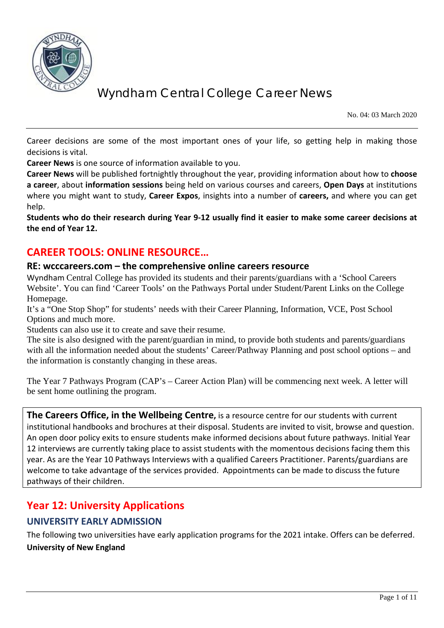

No. 04: 03 March 2020

Career decisions are some of the most important ones of your life, so getting help in making those decisions is vital.

**Career News** is one source of information available to you.

**Career News** will be published fortnightly throughout the year, providing information about how to **choose a career**, about **information sessions** being held on various courses and careers, **Open Days** at institutions where you might want to study, **Career Expos**, insights into a number of **careers,** and where you can get help.

**Students who do their research during Year 9-12 usually find it easier to make some career decisions at the end of Year 12.**

## **CAREER TOOLS: ONLINE RESOURCE…**

### **RE: wcccareers.com – the comprehensive online careers resource**

Wyndham Central College has provided its students and their parents/guardians with a 'School Careers Website'. You can find 'Career Tools' on the Pathways Portal under Student/Parent Links on the College Homepage.

It's a "One Stop Shop" for students' needs with their Career Planning, Information, VCE, Post School Options and much more.

Students can also use it to create and save their resume.

The site is also designed with the parent/guardian in mind, to provide both students and parents/guardians with all the information needed about the students' Career/Pathway Planning and post school options – and the information is constantly changing in these areas.

The Year 7 Pathways Program (CAP's – Career Action Plan) will be commencing next week. A letter will be sent home outlining the program.

**The Careers Office, in the Wellbeing Centre,** is a resource centre for our students with current institutional handbooks and brochures at their disposal. Students are invited to visit, browse and question. An open door policy exits to ensure students make informed decisions about future pathways. Initial Year 12 interviews are currently taking place to assist students with the momentous decisions facing them this year. As are the Year 10 Pathways Interviews with a qualified Careers Practitioner. Parents/guardians are welcome to take advantage of the services provided. Appointments can be made to discuss the future pathways of their children.

# **Year 12: University Applications**

### **UNIVERSITY EARLY ADMISSION**

The following two universities have early application programs for the 2021 intake. Offers can be deferred. **University of New England**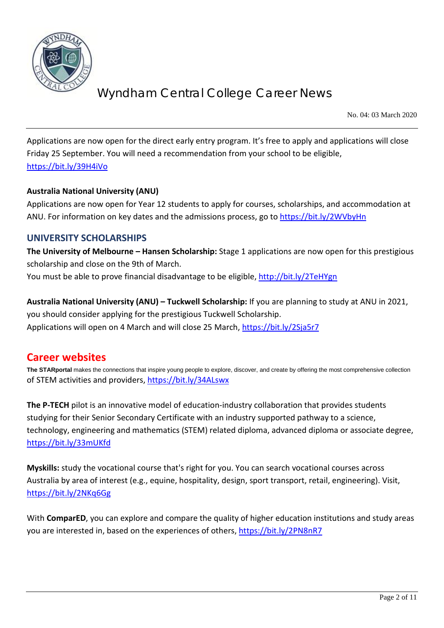

No. 04: 03 March 2020

Applications are now open for the direct early entry program. It's free to apply and applications will close Friday 25 September. You will need a recommendation from your school to be eligible, <https://bit.ly/39H4iVo>

### **Australia National University (ANU)**

Applications are now open for Year 12 students to apply for courses, scholarships, and accommodation at ANU. For information on key dates and the admissions process, go to<https://bit.ly/2WVbyHn>

### **UNIVERSITY SCHOLARSHIPS**

**The University of Melbourne – Hansen Scholarship:** Stage 1 applications are now open for this prestigious scholarship and close on the 9th of March. You must be able to prove financial disadvantage to be eligible,<http://bit.ly/2TeHYgn>

**Australia National University (ANU) – Tuckwell Scholarship:** If you are planning to study at ANU in 2021, you should consider applying for the prestigious Tuckwell Scholarship. Applications will open on 4 March and will close 25 March,<https://bit.ly/2Sja5r7>

## **Career websites**

**The STARportal** makes the connections that inspire young people to explore, discover, and create by offering the most comprehensive collection of STEM activities and providers[, https://bit.ly/34ALswx](https://bit.ly/34ALswx)

**The P-TECH** pilot is an innovative model of education-industry collaboration that provides students studying for their Senior Secondary Certificate with an industry supported pathway to a science, technology, engineering and mathematics (STEM) related diploma, advanced diploma or associate degree, <https://bit.ly/33mUKfd>

**Myskills:** study the vocational course that's right for you. You can search vocational courses across Australia by area of interest (e.g., equine, hospitality, design, sport transport, retail, engineering). Visit, <https://bit.ly/2NKq6Gg>

With **ComparED**, you can explore and compare the quality of higher education institutions and study areas you are interested in, based on the experiences of others,<https://bit.ly/2PN8nR7>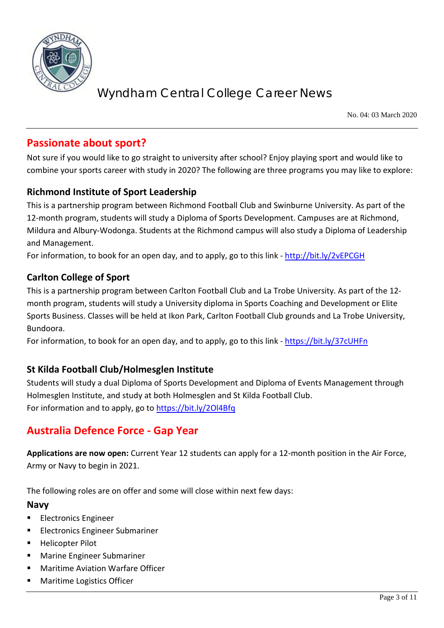

No. 04: 03 March 2020

## **Passionate about sport?**

Not sure if you would like to go straight to university after school? Enjoy playing sport and would like to combine your sports career with study in 2020? The following are three programs you may like to explore:

## **Richmond Institute of Sport Leadership**

This is a partnership program between Richmond Football Club and Swinburne University. As part of the 12-month program, students will study a Diploma of Sports Development. Campuses are at Richmond, Mildura and Albury-Wodonga. Students at the Richmond campus will also study a Diploma of Leadership and Management.

For information, to book for an open day, and to apply, go to this link - <http://bit.ly/2vEPCGH>

### **Carlton College of Sport**

This is a partnership program between Carlton Football Club and La Trobe University. As part of the 12 month program, students will study a University diploma in Sports Coaching and Development or Elite Sports Business. Classes will be held at Ikon Park, Carlton Football Club grounds and La Trobe University, Bundoora.

For information, to book for an open day, and to apply, go to this link - <https://bit.ly/37cUHFn>

## **St Kilda Football Club/Holmesglen Institute**

Students will study a dual Diploma of Sports Development and Diploma of Events Management through Holmesglen Institute, and study at both Holmesglen and St Kilda Football Club. For information and to apply, go to<https://bit.ly/2Ol4Bfq>

## **Australia Defence Force - Gap Year**

**Applications are now open:** Current Year 12 students can apply for a 12-month position in the Air Force, Army or Navy to begin in 2021.

The following roles are on offer and some will close within next few days:

### **Navy**

- Electronics Engineer
- Electronics Engineer Submariner
- Helicopter Pilot
- Marine Engineer Submariner
- Maritime Aviation Warfare Officer
- Maritime Logistics Officer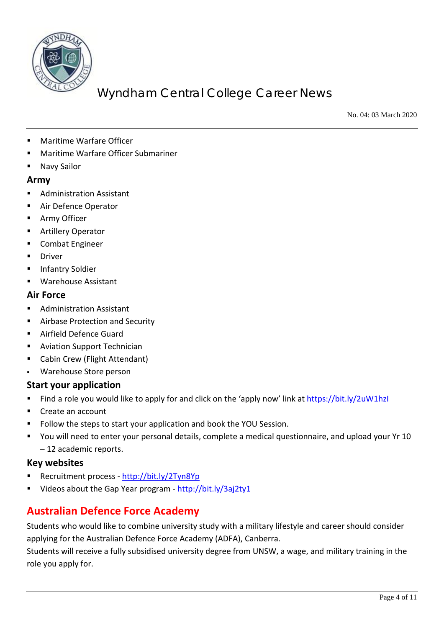

No. 04: 03 March 2020

- Maritime Warfare Officer
- Maritime Warfare Officer Submariner
- Navy Sailor

### **Army**

- Administration Assistant
- Air Defence Operator
- **Army Officer**
- Artillery Operator
- **EXECOMBATE Engineer**
- Driver
- Infantry Soldier
- Warehouse Assistant

### **Air Force**

- **Administration Assistant**
- Airbase Protection and Security
- Airfield Defence Guard
- **Aviation Support Technician**
- Cabin Crew (Flight Attendant)
- Warehouse Store person

### **Start your application**

- Find a role you would like to apply for and click on the 'apply now' link at<https://bit.ly/2uW1hzI>
- Create an account
- Follow the steps to start your application and book the YOU Session.
- You will need to enter your personal details, complete a medical questionnaire, and upload your Yr 10 – 12 academic reports.

### **Key websites**

- Recruitment process <http://bit.ly/2Tyn8Yp>
- Videos about the Gap Year program <http://bit.ly/3aj2ty1>

# **Australian Defence Force Academy**

Students who would like to combine university study with a military lifestyle and career should consider applying for the Australian Defence Force Academy (ADFA), Canberra.

Students will receive a fully subsidised university degree from UNSW, a wage, and military training in the role you apply for.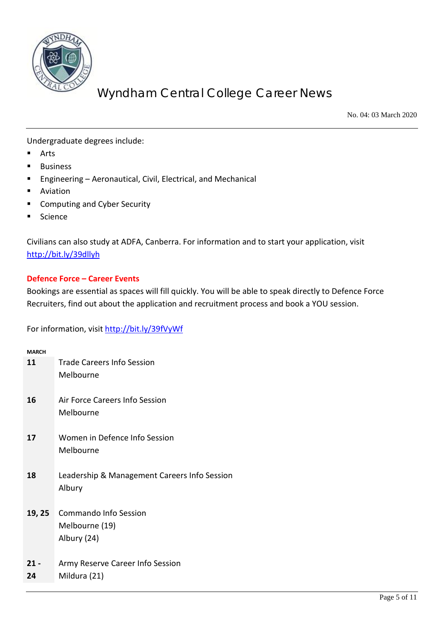

No. 04: 03 March 2020

Undergraduate degrees include:

- Arts
- Business
- Engineering Aeronautical, Civil, Electrical, and Mechanical
- **Aviation**
- Computing and Cyber Security
- Science

Civilians can also study at ADFA, Canberra. For information and to start your application, visit <http://bit.ly/39dllyh>

### **Defence Force – Career Events**

Bookings are essential as spaces will fill quickly. You will be able to speak directly to Defence Force Recruiters, find out about the application and recruitment process and book a YOU session.

For information, visit<http://bit.ly/39fVyWf>

| <b>MARCH</b> |                                                               |
|--------------|---------------------------------------------------------------|
| 11           | <b>Trade Careers Info Session</b><br>Melbourne                |
| 16           | Air Force Careers Info Session<br>Melbourne                   |
| 17           | Women in Defence Info Session<br>Melbourne                    |
| 18           | Leadership & Management Careers Info Session<br>Albury        |
| 19, 25       | <b>Commando Info Session</b><br>Melbourne (19)<br>Albury (24) |
| $21 -$<br>24 | Army Reserve Career Info Session<br>Mildura (21)              |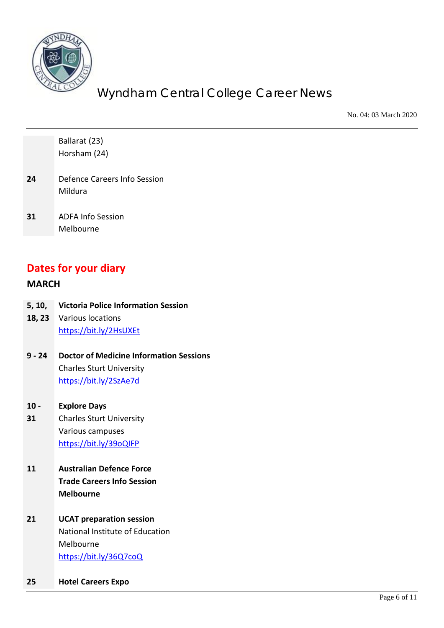

No. 04: 03 March 2020

|                      | Ballarat (23)                                  |
|----------------------|------------------------------------------------|
|                      | Horsham (24)                                   |
|                      |                                                |
| 24                   | Defence Careers Info Session                   |
|                      | Mildura                                        |
|                      |                                                |
| 31                   | <b>ADFA Info Session</b>                       |
|                      | Melbourne                                      |
|                      |                                                |
|                      |                                                |
| Dates for your diary |                                                |
| <b>MARCH</b>         |                                                |
|                      |                                                |
| 5, 10,               | <b>Victoria Police Information Session</b>     |
| 18, 23               | Various locations                              |
|                      | https://bit.ly/2HsUXEt                         |
|                      |                                                |
| $9 - 24$             | <b>Doctor of Medicine Information Sessions</b> |
|                      | <b>Charles Sturt University</b>                |
|                      | https://bit.ly/2SzAe7d                         |
|                      |                                                |
| $10 -$               | <b>Explore Days</b>                            |
| 31                   | <b>Charles Sturt University</b>                |
|                      | Various campuses                               |
|                      | https://bit.ly/39oQIFP                         |
| 11                   | <b>Australian Defence Force</b>                |
|                      | <b>Trade Careers Info Session</b>              |
|                      | <b>Melbourne</b>                               |
|                      |                                                |
| 21                   | <b>UCAT preparation session</b>                |
|                      | National Institute of Education                |
|                      | Melbourne                                      |
|                      | https://bit.ly/36Q7coQ                         |
|                      |                                                |
| 25                   | <b>Hotel Careers Expo</b>                      |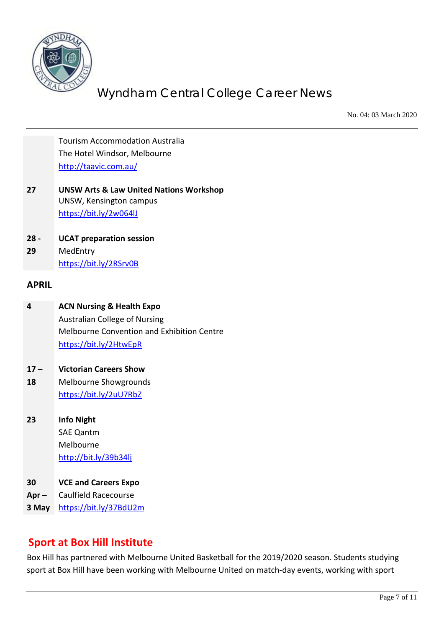

No. 04: 03 March 2020

Tourism Accommodation Australia The Hotel Windsor, Melbourne <http://taavic.com.au/>

- **27 UNSW Arts & Law United Nations Workshop** UNSW, Kensington campus <https://bit.ly/2w064lJ>
- **28 - UCAT preparation session**

**29** MedEntry <https://bit.ly/2RSrv0B>

#### **APRIL**

- **4 ACN Nursing & Health Expo** Australian College of Nursing Melbourne Convention and Exhibition Centre <https://bit.ly/2HtwEpR>
- **17 – Victorian Careers Show**
- **18** Melbourne Showgrounds <https://bit.ly/2uU7RbZ>
- **23 Info Night** SAE Qantm Melbourne <http://bit.ly/39b34lj>
- **30 VCE and Careers Expo**
- **Apr –** Caulfield Racecourse
- **3 May** <https://bit.ly/37BdU2m>

## **Sport at Box Hill Institute**

Box Hill has partnered with Melbourne United Basketball for the 2019/2020 season. Students studying sport at Box Hill have been working with Melbourne United on match-day events, working with sport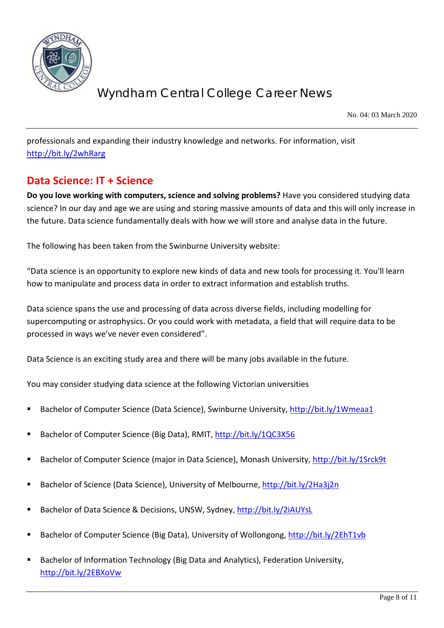

No. 04: 03 March 2020

professionals and expanding their industry knowledge and networks. For information, visit <http://bit.ly/2whRarg>

## **Data Science: IT + Science**

**Do you love working with computers, science and solving problems?** Have you considered studying data science? In our day and age we are using and storing massive amounts of data and this will only increase in the future. Data science fundamentally deals with how we will store and analyse data in the future.

The following has been taken from the Swinburne University website:

"Data science is an opportunity to explore new kinds of data and new tools for processing it. You'll learn how to manipulate and process data in order to extract information and establish truths.

Data science spans the use and processing of data across diverse fields, including modelling for supercomputing or astrophysics. Or you could work with metadata, a field that will require data to be processed in ways we've never even considered".

Data Science is an exciting study area and there will be many jobs available in the future.

You may consider studying data science at the following Victorian universities

- Bachelor of Computer Science (Data Science), Swinburne University[, http://bit.ly/1Wmeaa1](http://bit.ly/1Wmeaa1)
- Bachelor of Computer Science (Big Data), RMIT,<http://bit.ly/1QC3X56>
- Bachelor of Computer Science (major in Data Science), Monash University,<http://bit.ly/1Srck9t>
- Bachelor of Science (Data Science), University of Melbourne[, http://bit.ly/2Ha3j2n](http://bit.ly/2Ha3j2n)
- Bachelor of Data Science & Decisions, UNSW, Sydney,<http://bit.ly/2iAUYsL>
- Bachelor of Computer Science (Big Data), University of Wollongong,<http://bit.ly/2EhT1vb>
- Bachelor of Information Technology (Big Data and Analytics), Federation University, <http://bit.ly/2EBXoVw>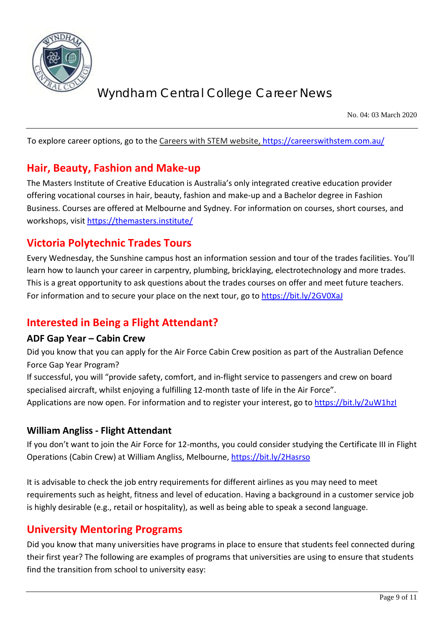

No. 04: 03 March 2020

To explore career options, go to the Careers with STEM website,<https://careerswithstem.com.au/>

## **Hair, Beauty, Fashion and Make-up**

The Masters Institute of Creative Education is Australia's only integrated creative education provider offering vocational courses in hair, beauty, fashion and make-up and a Bachelor degree in Fashion Business. Courses are offered at Melbourne and Sydney. For information on courses, short courses, and workshops, visit<https://themasters.institute/>

## **Victoria Polytechnic Trades Tours**

Every Wednesday, the Sunshine campus host an information session and tour of the trades facilities. You'll learn how to launch your career in carpentry, plumbing, bricklaying, electrotechnology and more trades. This is a great opportunity to ask questions about the trades courses on offer and meet future teachers. For information and to secure your place on the next tour, go to<https://bit.ly/2GV0XaJ>

# **Interested in Being a Flight Attendant?**

### **ADF Gap Year – Cabin Crew**

Did you know that you can apply for the Air Force Cabin Crew position as part of the Australian Defence Force Gap Year Program?

If successful, you will "provide safety, comfort, and in-flight service to passengers and crew on board specialised aircraft, whilst enjoying a fulfilling 12-month taste of life in the Air Force".

Applications are now open. For information and to register your interest, go to<https://bit.ly/2uW1hzI>

### **William Angliss - Flight Attendant**

If you don't want to join the Air Force for 12-months, you could consider studying the Certificate III in Flight Operations (Cabin Crew) at William Angliss, Melbourne,<https://bit.ly/2Hasrso>

It is advisable to check the job entry requirements for different airlines as you may need to meet requirements such as height, fitness and level of education. Having a background in a customer service job is highly desirable (e.g., retail or hospitality), as well as being able to speak a second language.

## **University Mentoring Programs**

Did you know that many universities have programs in place to ensure that students feel connected during their first year? The following are examples of programs that universities are using to ensure that students find the transition from school to university easy: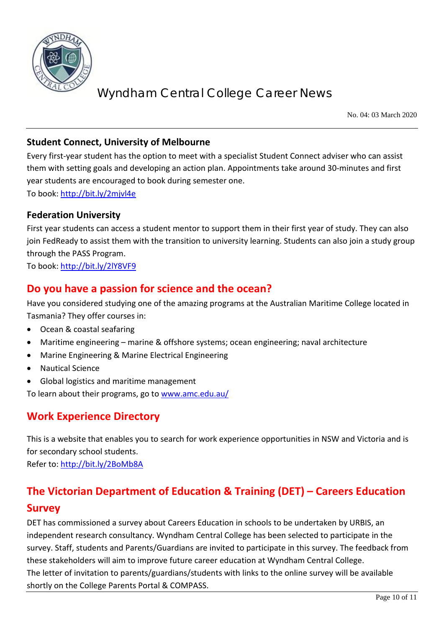

No. 04: 03 March 2020

### **Student Connect, University of Melbourne**

Every first-year student has the option to meet with a specialist Student Connect adviser who can assist them with setting goals and developing an action plan. Appointments take around 30-minutes and first year students are encouraged to book during semester one.

To book: <http://bit.ly/2mjvl4e>

### **Federation University**

First year students can access a student mentor to support them in their first year of study. They can also join FedReady to assist them with the transition to university learning. Students can also join a study group through the PASS Program.

To book: <http://bit.ly/2lY8VF9>

## **Do you have a passion for science and the ocean?**

Have you considered studying one of the amazing programs at the Australian Maritime College located in Tasmania? They offer courses in:

- Ocean & coastal seafaring
- Maritime engineering marine & offshore systems; ocean engineering; naval architecture
- Marine Engineering & Marine Electrical Engineering
- Nautical Science
- Global logistics and maritime management

To learn about their programs, go to [www.amc.edu.au/](http://www.amc.edu.au/)

# **Work Experience Directory**

This is a website that enables you to search for work experience opportunities in NSW and Victoria and is for secondary school students.

Refer to:<http://bit.ly/2BoMb8A>

# **The Victorian Department of Education & Training (DET) – Careers Education Survey**

DET has commissioned a survey about Careers Education in schools to be undertaken by URBIS, an independent research consultancy. Wyndham Central College has been selected to participate in the survey. Staff, students and Parents/Guardians are invited to participate in this survey. The feedback from these stakeholders will aim to improve future career education at Wyndham Central College. The letter of invitation to parents/guardians/students with links to the online survey will be available shortly on the College Parents Portal & COMPASS.